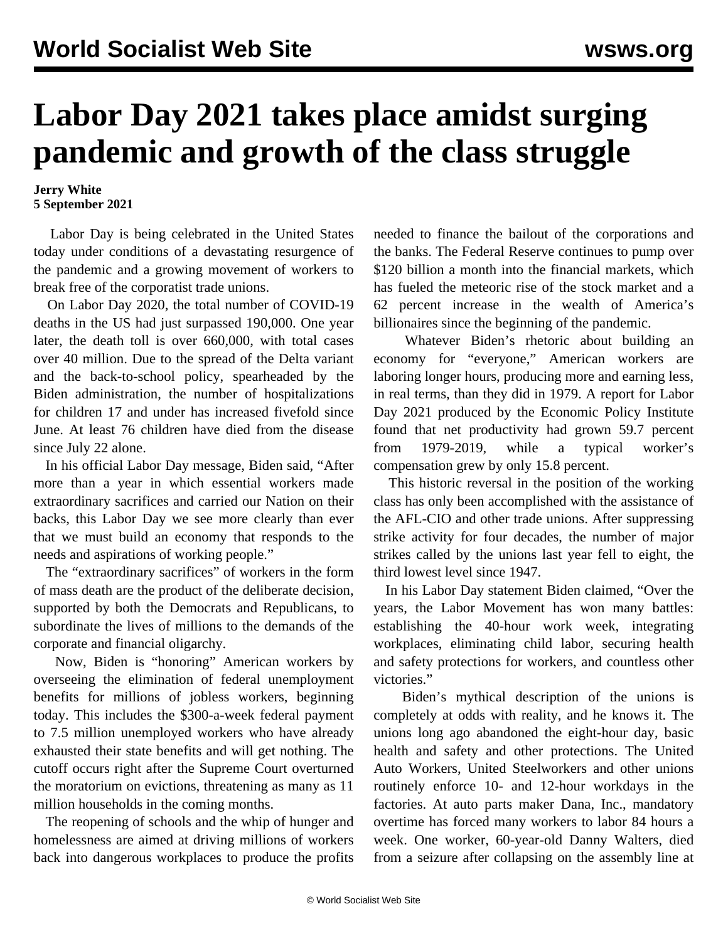## **Labor Day 2021 takes place amidst surging pandemic and growth of the class struggle**

## **Jerry White 5 September 2021**

 Labor Day is being celebrated in the United States today under conditions of a devastating resurgence of the pandemic and a growing movement of workers to break free of the corporatist trade unions.

 On Labor Day 2020, the total number of COVID-19 deaths in the US had just surpassed 190,000. One year later, the death toll is over 660,000, with total cases over 40 million. Due to the spread of the Delta variant and the back-to-school policy, spearheaded by the Biden administration, the number of hospitalizations for children 17 and under has increased fivefold since June. At least 76 children have died from the disease since July 22 alone.

 In his official Labor Day message, Biden said, "After more than a year in which essential workers made extraordinary sacrifices and carried our Nation on their backs, this Labor Day we see more clearly than ever that we must build an economy that responds to the needs and aspirations of working people."

 The "extraordinary sacrifices" of workers in the form of mass death are the product of the deliberate decision, supported by both the Democrats and Republicans, to subordinate the lives of millions to the demands of the corporate and financial oligarchy.

 Now, Biden is "honoring" American workers by overseeing the elimination of federal unemployment benefits for millions of jobless workers, beginning today. This includes the \$300-a-week federal payment to 7.5 million unemployed workers who have already exhausted their state benefits and will get nothing. The cutoff occurs right after the Supreme Court overturned the moratorium on evictions, threatening as many as 11 million households in the coming months.

 The reopening of schools and the whip of hunger and homelessness are aimed at driving millions of workers back into dangerous workplaces to produce the profits needed to finance the bailout of the corporations and the banks. The Federal Reserve continues to pump over \$120 billion a month into the financial markets, which has fueled the meteoric rise of the stock market and a 62 percent increase in the wealth of America's billionaires since the beginning of the pandemic.

 Whatever Biden's rhetoric about building an economy for "everyone," American workers are laboring longer hours, producing more and earning less, in real terms, than they did in 1979. A report for Labor Day 2021 produced by the Economic Policy Institute found that net productivity had grown 59.7 percent from 1979-2019, while a typical worker's compensation grew by only 15.8 percent.

 This historic reversal in the position of the working class has only been accomplished with the assistance of the AFL-CIO and other trade unions. After suppressing strike activity for four decades, the number of major strikes called by the unions last year fell to eight, the third lowest level since 1947.

 In his Labor Day statement Biden claimed, "Over the years, the Labor Movement has won many battles: establishing the 40-hour work week, integrating workplaces, eliminating child labor, securing health and safety protections for workers, and countless other victories."

 Biden's mythical description of the unions is completely at odds with reality, and he knows it. The unions long ago abandoned the eight-hour day, basic health and safety and other protections. The United Auto Workers, United Steelworkers and other unions routinely enforce 10- and 12-hour workdays in the factories. At auto parts maker Dana, Inc., mandatory overtime has forced many workers to labor 84 hours a week. One worker, 60-year-old Danny Walters, died from a seizure after collapsing on the assembly line at